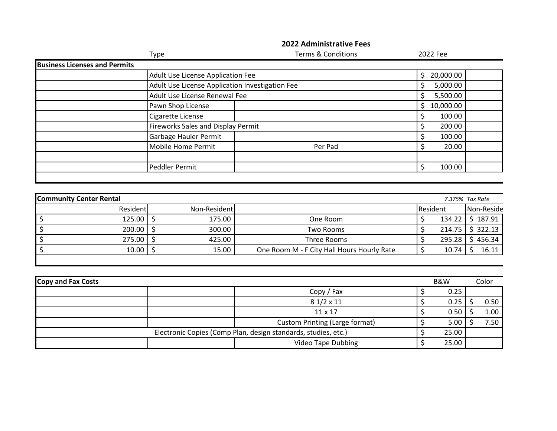|                                |                                      | Type                                            | <b>Terms &amp; Conditions</b>                                  |         | 2022 Fee        |         |            |
|--------------------------------|--------------------------------------|-------------------------------------------------|----------------------------------------------------------------|---------|-----------------|---------|------------|
|                                | <b>Business Licenses and Permits</b> |                                                 |                                                                |         |                 |         |            |
|                                |                                      | Adult Use License Application Fee               |                                                                | \$      | 20,000.00       |         |            |
|                                |                                      | Adult Use License Application Investigation Fee |                                                                | \$      | 5,000.00        |         |            |
|                                |                                      | Adult Use License Renewal Fee                   |                                                                | $\zeta$ | 5,500.00        |         |            |
|                                |                                      | Pawn Shop License                               |                                                                | \$      | 10,000.00       |         |            |
|                                |                                      | Cigarette License                               |                                                                | \$      | 100.00          |         |            |
|                                |                                      | Fireworks Sales and Display Permit              |                                                                | \$      | 200.00          |         |            |
|                                |                                      | Garbage Hauler Permit                           |                                                                | \$      | 100.00          |         |            |
|                                |                                      | Mobile Home Permit                              | Per Pad                                                        | \$      | 20.00           |         |            |
|                                |                                      |                                                 |                                                                |         |                 |         |            |
|                                |                                      | Peddler Permit                                  |                                                                | \$      | 100.00          |         |            |
| <b>Community Center Rental</b> |                                      |                                                 |                                                                |         | 7.375% Tax Rate |         |            |
|                                | Resident                             | Non-Resident                                    |                                                                |         | Resident        |         | Non-Reside |
| \$                             | 125.00                               | \$<br>175.00                                    | One Room                                                       | \$      | 134.22          |         | \$187.91   |
| $\overline{\xi}$               | 200.00                               | \$<br>300.00                                    | <b>Two Rooms</b>                                               | \$      | 214.75          |         | \$322.13   |
| $\overline{\xi}$               | 275.00                               | \$<br>425.00                                    | <b>Three Rooms</b>                                             | \$      | 295.28          |         | \$456.34   |
| $\overline{\xi}$               | 10.00                                | \$<br>15.00                                     | One Room M - F City Hall Hours Hourly Rate                     | $\zeta$ | 10.74           | \$      | 16.11      |
|                                |                                      |                                                 |                                                                |         |                 |         |            |
|                                |                                      |                                                 |                                                                |         |                 |         |            |
| Copy and Fax Costs             |                                      |                                                 |                                                                |         | <b>B&amp;W</b>  |         | Color      |
|                                |                                      |                                                 | Copy / Fax                                                     | \$      | 0.25            |         |            |
|                                |                                      |                                                 | $81/2 \times 11$                                               | $\zeta$ | 0.25            | $\zeta$ | 0.50       |
|                                |                                      |                                                 | 11 x 17                                                        | $\zeta$ | 0.50            | $\zeta$ | 1.00       |
|                                |                                      |                                                 | <b>Custom Printing (Large format)</b>                          | \$      | 5.00            | Ŝ.      | 7.50       |
|                                |                                      |                                                 | Electronic Copies (Comp Plan, design standards, studies, etc.) | $\zeta$ | 25.00           |         |            |

**2022 Administrative Fees**

Video Tape Dubbing  $\frac{1}{5}$  25.00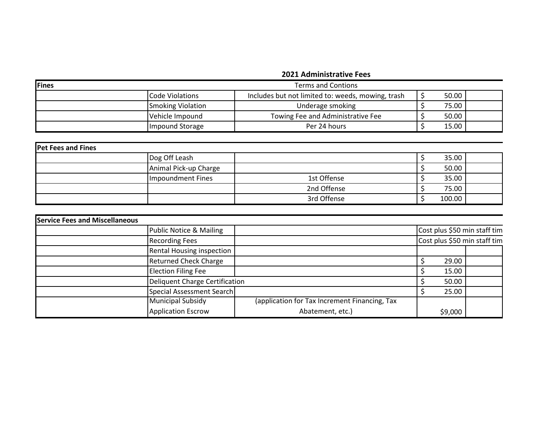## **2021 Administrative Fees**

| Fines<br><b>Terms and Contions</b> |                          |                                                   |  |       |  |
|------------------------------------|--------------------------|---------------------------------------------------|--|-------|--|
|                                    | Code Violations          | Includes but not limited to: weeds, mowing, trash |  | 50.00 |  |
|                                    | <b>Smoking Violation</b> | Underage smoking                                  |  | 75.00 |  |
|                                    | Vehicle Impound          | Towing Fee and Administrative Fee                 |  | 50.00 |  |
|                                    | Impound Storage          | Per 24 hours                                      |  | 15.00 |  |

| <b>Pet Fees and Fines</b> |                       |             |  |        |  |  |
|---------------------------|-----------------------|-------------|--|--------|--|--|
|                           | Dog Off Leash         |             |  | 35.00  |  |  |
|                           | Animal Pick-up Charge |             |  | 50.00  |  |  |
|                           | Impoundment Fines     | 1st Offense |  | 35.00  |  |  |
|                           |                       | 2nd Offense |  | 75.00  |  |  |
|                           |                       | 3rd Offense |  | 100.00 |  |  |

| <b>Service Fees and Miscellaneous</b> |                                    |                                               |         |                              |
|---------------------------------------|------------------------------------|-----------------------------------------------|---------|------------------------------|
|                                       | <b>Public Notice &amp; Mailing</b> |                                               |         | Cost plus \$50 min staff tim |
|                                       | <b>Recording Fees</b>              |                                               |         | Cost plus \$50 min staff tim |
|                                       | <b>Rental Housing inspection</b>   |                                               |         |                              |
|                                       | <b>Returned Check Charge</b>       |                                               | 29.00   |                              |
|                                       | <b>Election Filing Fee</b>         |                                               | 15.00   |                              |
|                                       | Deliquent Charge Certification     |                                               | 50.00   |                              |
|                                       | Special Assessment Search          |                                               | 25.00   |                              |
|                                       | <b>Municipal Subsidy</b>           | (application for Tax Increment Financing, Tax |         |                              |
|                                       | <b>Application Escrow</b>          | Abatement, etc.)                              | \$9,000 |                              |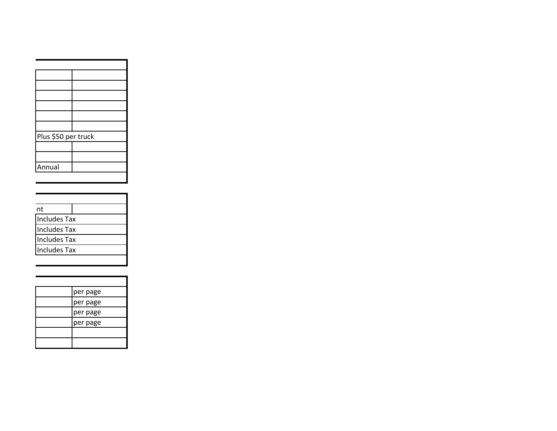| Plus \$50 per truck |
|---------------------|
|                     |
|                     |
|                     |
|                     |

| :nt                 |  |
|---------------------|--|
| <b>Includes Tax</b> |  |
| <b>Includes Tax</b> |  |
| <b>Includes Tax</b> |  |
| <b>Includes Tax</b> |  |
|                     |  |

| per page |
|----------|
| per page |
| per page |
| per page |
|          |
|          |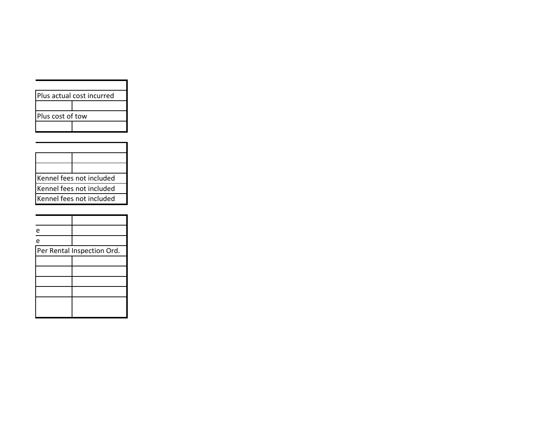| Plus actual cost incurred |  |  |  |  |  |
|---------------------------|--|--|--|--|--|
|                           |  |  |  |  |  |
| Plus cost of tow          |  |  |  |  |  |
|                           |  |  |  |  |  |

| Kennel fees not included |
|--------------------------|
| Kennel fees not included |
| Kennel fees not included |

| e |                            |
|---|----------------------------|
| e |                            |
|   | Per Rental Inspection Ord. |
|   |                            |
|   |                            |
|   |                            |
|   |                            |
|   |                            |
|   |                            |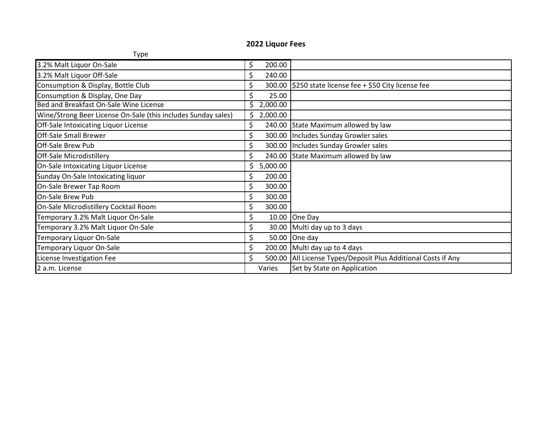## **2022 Liquor Fees**

| Type                                                          |    |          |                                                                 |
|---------------------------------------------------------------|----|----------|-----------------------------------------------------------------|
| 3.2% Malt Liquor On-Sale                                      | \$ | 200.00   |                                                                 |
| 3.2% Malt Liquor Off-Sale                                     |    | 240.00   |                                                                 |
| Consumption & Display, Bottle Club                            |    |          | 300.00 \$250 state license fee + \$50 City license fee          |
| Consumption & Display, One Day                                |    | 25.00    |                                                                 |
| Bed and Breakfast On-Sale Wine License                        | Ś  | 2,000.00 |                                                                 |
| Wine/Strong Beer License On-Sale (this includes Sunday sales) |    | 2,000.00 |                                                                 |
| Off-Sale Intoxicating Liquor License                          | \$ |          | 240.00 State Maximum allowed by law                             |
| <b>Off-Sale Small Brewer</b>                                  |    | 300.00   | Includes Sunday Growler sales                                   |
| <b>Off-Sale Brew Pub</b>                                      | \$ | 300.00   | Includes Sunday Growler sales                                   |
| <b>Off-Sale Microdistillery</b>                               | \$ | 240.00   | State Maximum allowed by law                                    |
| On-Sale Intoxicating Liquor License                           |    | 5,000.00 |                                                                 |
| Sunday On-Sale Intoxicating liquor                            | \$ | 200.00   |                                                                 |
| On-Sale Brewer Tap Room                                       | \$ | 300.00   |                                                                 |
| On-Sale Brew Pub                                              |    | 300.00   |                                                                 |
| On-Sale Microdistillery Cocktail Room                         |    | 300.00   |                                                                 |
| Temporary 3.2% Malt Liquor On-Sale                            | \$ | 10.00    | One Day                                                         |
| Temporary 3.2% Malt Liquor On-Sale                            | \$ |          | 30.00 Multi day up to 3 days                                    |
| Temporary Liquor On-Sale                                      |    | 50.00    | One day                                                         |
| Temporary Liquor On-Sale                                      | \$ |          | 200.00 Multi day up to 4 days                                   |
| License Investigation Fee                                     | \$ |          | 500.00   All License Types/Deposit Plus Additional Costs if Any |
| 2 a.m. License                                                |    | Varies   | Set by State on Application                                     |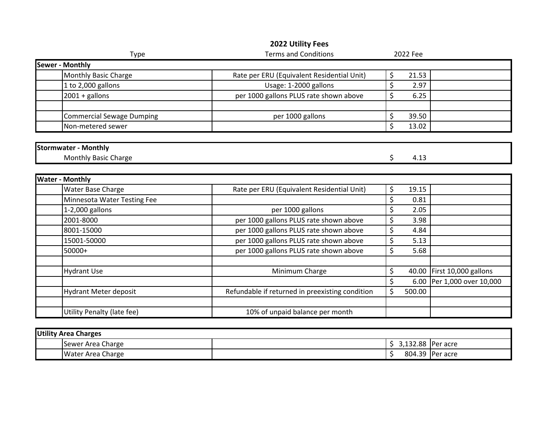| Type                             | <b>Terms and Conditions</b>                     | 2022 Fee |                               |
|----------------------------------|-------------------------------------------------|----------|-------------------------------|
| <b>Sewer - Monthly</b>           |                                                 |          |                               |
| Monthly Basic Charge             | Rate per ERU (Equivalent Residential Unit)      | \$       | 21.53                         |
| 1 to 2,000 gallons               | Usage: 1-2000 gallons                           | \$       | 2.97                          |
| $2001 +$ gallons                 | per 1000 gallons PLUS rate shown above          | \$       | 6.25                          |
|                                  |                                                 |          |                               |
| <b>Commercial Sewage Dumping</b> | per 1000 gallons                                | \$       | 39.50                         |
| Non-metered sewer                |                                                 | \$       | 13.02                         |
|                                  |                                                 |          |                               |
| <b>Stormwater - Monthly</b>      |                                                 |          |                               |
| Monthly Basic Charge             |                                                 | \$       | 4.13                          |
|                                  |                                                 |          |                               |
| <b>Water - Monthly</b>           |                                                 |          |                               |
| Water Base Charge                | Rate per ERU (Equivalent Residential Unit)      | \$       | 19.15                         |
| Minnesota Water Testing Fee      |                                                 | \$       | 0.81                          |
| 1-2,000 gallons                  | per 1000 gallons                                | \$       | 2.05                          |
| 2001-8000                        | per 1000 gallons PLUS rate shown above          | \$       | 3.98                          |
| 8001-15000                       | per 1000 gallons PLUS rate shown above          | \$       | 4.84                          |
| 15001-50000                      | per 1000 gallons PLUS rate shown above          | \$       | 5.13                          |
| 50000+                           | per 1000 gallons PLUS rate shown above          | \$       | 5.68                          |
|                                  |                                                 |          |                               |
| <b>Hydrant Use</b>               | Minimum Charge                                  | \$       | First 10,000 gallons<br>40.00 |
|                                  |                                                 | \$       | Per 1,000 over 10,000<br>6.00 |
| <b>Hydrant Meter deposit</b>     | Refundable if returned in preexisting condition | \$       | 500.00                        |
|                                  |                                                 |          |                               |
| Utility Penalty (late fee)       | 10% of unpaid balance per month                 |          |                               |

## **2022 Utility Fees**

| <b>Utility Area Charges</b> |                          |  |          |                 |  |  |  |
|-----------------------------|--------------------------|--|----------|-----------------|--|--|--|
|                             | Sewer Area Charge        |  | 3,132.88 | Per acre        |  |  |  |
|                             | <b>Water Area Charge</b> |  |          | 804.39 Per acre |  |  |  |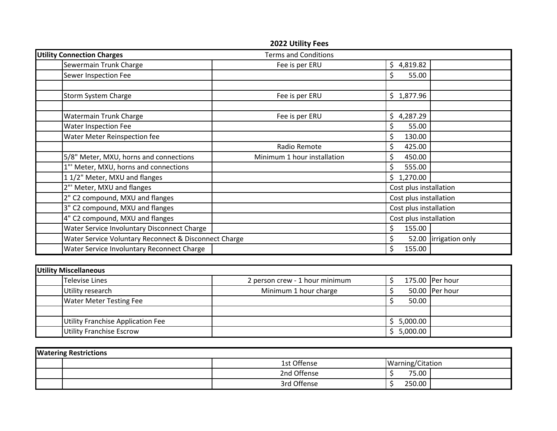|                                                       | 2022 Utility Fees           |                        |                        |
|-------------------------------------------------------|-----------------------------|------------------------|------------------------|
| <b>Utility Connection Charges</b>                     | <b>Terms and Conditions</b> |                        |                        |
| Sewermain Trunk Charge                                | Fee is per ERU              | \$4,819.82             |                        |
| Sewer Inspection Fee                                  |                             | \$<br>55.00            |                        |
|                                                       |                             |                        |                        |
| Storm System Charge                                   | Fee is per ERU              | \$1,877.96             |                        |
| <b>Watermain Trunk Charge</b>                         | Fee is per ERU              | \$4,287.29             |                        |
| Water Inspection Fee                                  |                             | \$<br>55.00            |                        |
| Water Meter Reinspection fee                          |                             | \$<br>130.00           |                        |
|                                                       | Radio Remote                | \$<br>425.00           |                        |
| 5/8" Meter, MXU, horns and connections                | Minimum 1 hour installation | \$.<br>450.00          |                        |
| 1"' Meter, MXU, horns and connections                 |                             | \$<br>555.00           |                        |
| 11/2" Meter, MXU and flanges                          |                             | \$1,270.00             |                        |
| 2"' Meter, MXU and flanges                            |                             | Cost plus installation |                        |
| 2" C2 compound, MXU and flanges                       |                             | Cost plus installation |                        |
| 3" C2 compound, MXU and flanges                       |                             | Cost plus installation |                        |
| 4" C2 compound, MXU and flanges                       |                             | Cost plus installation |                        |
| Water Service Involuntary Disconnect Charge           |                             | \$<br>155.00           |                        |
| Water Service Voluntary Reconnect & Disconnect Charge |                             | \$                     | 52.00 lirrigation only |
| Water Service Involuntary Reconnect Charge            |                             | Ś.<br>155.00           |                        |

| Utility Miscellaneous |                                                  |                       |  |            |                 |  |  |  |
|-----------------------|--------------------------------------------------|-----------------------|--|------------|-----------------|--|--|--|
|                       | Televise Lines<br>2 person crew - 1 hour minimum |                       |  |            | 175.00 Per hour |  |  |  |
|                       | Utility research                                 | Minimum 1 hour charge |  |            | 50.00 Per hour  |  |  |  |
|                       | <b>Water Meter Testing Fee</b>                   |                       |  | 50.00      |                 |  |  |  |
|                       |                                                  |                       |  |            |                 |  |  |  |
|                       | Utility Franchise Application Fee                |                       |  | \$5,000.00 |                 |  |  |  |
|                       | <b>Utility Franchise Escrow</b>                  |                       |  | 5,000.00   |                 |  |  |  |

| <b>Watering Restrictions</b> |  |             |                  |  |  |  |
|------------------------------|--|-------------|------------------|--|--|--|
|                              |  | 1st Offense | Warning/Citation |  |  |  |
|                              |  | 2nd Offense | 75.00            |  |  |  |
|                              |  | 3rd Offense | 250.00           |  |  |  |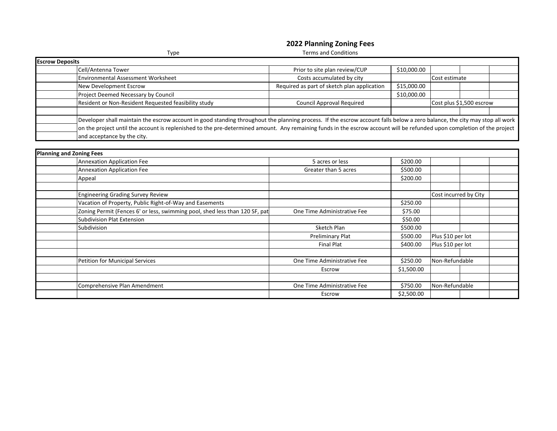## **2022 Planning Zoning Fees**

|                        | Type                                                                                                                                                                       | <b>Terms and Conditions</b>                 |             |                          |  |  |  |
|------------------------|----------------------------------------------------------------------------------------------------------------------------------------------------------------------------|---------------------------------------------|-------------|--------------------------|--|--|--|
| <b>Escrow Deposits</b> |                                                                                                                                                                            |                                             |             |                          |  |  |  |
|                        | Cell/Antenna Tower                                                                                                                                                         | Prior to site plan review/CUP               | \$10,000.00 |                          |  |  |  |
|                        | <b>Environmental Assessment Worksheet</b>                                                                                                                                  | Costs accumulated by city                   |             | Cost estimate            |  |  |  |
|                        | New Development Escrow                                                                                                                                                     | Required as part of sketch plan application | \$15,000.00 |                          |  |  |  |
|                        | Project Deemed Necessary by Council                                                                                                                                        |                                             | \$10,000.00 |                          |  |  |  |
|                        | Resident or Non-Resident Requested feasibility study                                                                                                                       | <b>Council Approval Required</b>            |             | Cost plus \$1,500 escrow |  |  |  |
|                        |                                                                                                                                                                            |                                             |             |                          |  |  |  |
|                        | Developer shall maintain the escrow account in good standing throughout the planning process. If the escrow account falls below a zero balance, the city may stop all work |                                             |             |                          |  |  |  |
|                        | on the project until the account is replenished to the pre-determined amount. Any remaining funds in the escrow account will be refunded upon completion of the project    |                                             |             |                          |  |  |  |
|                        | and acceptance by the city.                                                                                                                                                |                                             |             |                          |  |  |  |
|                        |                                                                                                                                                                            |                                             |             |                          |  |  |  |

| <b>Planning and Zoning Fees</b> |                                                                             |                             |            |                       |  |
|---------------------------------|-----------------------------------------------------------------------------|-----------------------------|------------|-----------------------|--|
|                                 | <b>Annexation Application Fee</b>                                           | 5 acres or less             | \$200.00   |                       |  |
|                                 | Annexation Application Fee                                                  | Greater than 5 acres        | \$500.00   |                       |  |
|                                 | Appeal                                                                      |                             | \$200.00   |                       |  |
|                                 |                                                                             |                             |            |                       |  |
|                                 | <b>Engineering Grading Survey Review</b>                                    |                             |            | Cost incurred by City |  |
|                                 | Vacation of Property, Public Right-of-Way and Easements                     |                             | \$250.00   |                       |  |
|                                 | Zoning Permit (Fences 6' or less, swimming pool, shed less than 120 SF, pat | One Time Administrative Fee | \$75.00    |                       |  |
|                                 | <b>Subdivision Plat Extension</b>                                           |                             | \$50.00    |                       |  |
|                                 | Subdivision                                                                 | Sketch Plan                 | \$500.00   |                       |  |
|                                 |                                                                             | Preliminary Plat            | \$500.00   | Plus \$10 per lot     |  |
|                                 |                                                                             | <b>Final Plat</b>           | \$400.00   | Plus \$10 per lot     |  |
|                                 |                                                                             |                             |            |                       |  |
|                                 | Petition for Municipal Services                                             | One Time Administrative Fee | \$250.00   | Non-Refundable        |  |
|                                 |                                                                             | Escrow                      | \$1,500.00 |                       |  |
|                                 |                                                                             |                             |            |                       |  |
|                                 | Comprehensive Plan Amendment                                                | One Time Administrative Fee | \$750.00   | Non-Refundable        |  |
|                                 |                                                                             | Escrow                      | \$2,500.00 |                       |  |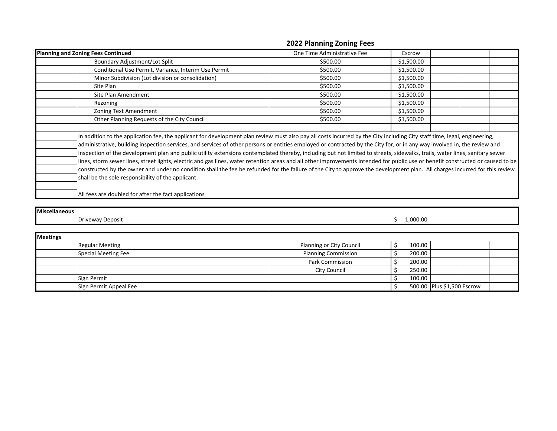## **2022 Planning Zoning Fees**

| <b>Planning and Zoning Fees Continued</b>                                                                                                                                                                                                                                                                                                                                                                                                                                                                                                                                                                                                                                                                                                                                                                                                                                                                                                                      | One Time Administrative Fee | Escrow     |  |  |
|----------------------------------------------------------------------------------------------------------------------------------------------------------------------------------------------------------------------------------------------------------------------------------------------------------------------------------------------------------------------------------------------------------------------------------------------------------------------------------------------------------------------------------------------------------------------------------------------------------------------------------------------------------------------------------------------------------------------------------------------------------------------------------------------------------------------------------------------------------------------------------------------------------------------------------------------------------------|-----------------------------|------------|--|--|
| Boundary Adjustment/Lot Split                                                                                                                                                                                                                                                                                                                                                                                                                                                                                                                                                                                                                                                                                                                                                                                                                                                                                                                                  | \$500.00                    | \$1,500.00 |  |  |
| Conditional Use Permit, Variance, Interim Use Permit                                                                                                                                                                                                                                                                                                                                                                                                                                                                                                                                                                                                                                                                                                                                                                                                                                                                                                           | \$500.00                    | \$1,500.00 |  |  |
| Minor Subdivision (Lot division or consolidation)                                                                                                                                                                                                                                                                                                                                                                                                                                                                                                                                                                                                                                                                                                                                                                                                                                                                                                              | \$500.00                    | \$1,500.00 |  |  |
| Site Plan                                                                                                                                                                                                                                                                                                                                                                                                                                                                                                                                                                                                                                                                                                                                                                                                                                                                                                                                                      | \$500.00                    | \$1,500.00 |  |  |
| Site Plan Amendment                                                                                                                                                                                                                                                                                                                                                                                                                                                                                                                                                                                                                                                                                                                                                                                                                                                                                                                                            | \$500.00                    | \$1,500.00 |  |  |
| Rezoning                                                                                                                                                                                                                                                                                                                                                                                                                                                                                                                                                                                                                                                                                                                                                                                                                                                                                                                                                       | \$500.00                    | \$1,500.00 |  |  |
| Zoning Text Amendment                                                                                                                                                                                                                                                                                                                                                                                                                                                                                                                                                                                                                                                                                                                                                                                                                                                                                                                                          | \$500.00                    | \$1,500.00 |  |  |
| Other Planning Requests of the City Council                                                                                                                                                                                                                                                                                                                                                                                                                                                                                                                                                                                                                                                                                                                                                                                                                                                                                                                    | \$500.00                    | \$1,500.00 |  |  |
|                                                                                                                                                                                                                                                                                                                                                                                                                                                                                                                                                                                                                                                                                                                                                                                                                                                                                                                                                                |                             |            |  |  |
| In addition to the application fee, the applicant for development plan review must also pay all costs incurred by the City including City staff time, legal, engineering,<br>administrative, building inspection services, and services of other persons or entities employed or contracted by the City for, or in any way involved in, the review and<br>inspection of the development plan and public utility extensions contemplated thereby, including but not limited to streets, sidewalks, trails, water lines, sanitary sewer<br>lines, storm sewer lines, street lights, electric and gas lines, water retention areas and all other improvements intended for public use or benefit constructed or caused to be<br>constructed by the owner and under no condition shall the fee be refunded for the failure of the City to approve the development plan. All charges incurred for this review<br>shall be the sole responsibility of the applicant. |                             |            |  |  |
| All fees are doubled for after the fact applications                                                                                                                                                                                                                                                                                                                                                                                                                                                                                                                                                                                                                                                                                                                                                                                                                                                                                                           |                             |            |  |  |

**Miscellaneous**

Driveway Deposit \$ 1,000.00

| <b>Meetings</b> |                        |                            |  |        |                            |  |  |  |
|-----------------|------------------------|----------------------------|--|--------|----------------------------|--|--|--|
|                 | <b>Regular Meeting</b> | Planning or City Council   |  | 100.00 |                            |  |  |  |
|                 | Special Meeting Fee    | <b>Planning Commission</b> |  | 200.00 |                            |  |  |  |
|                 |                        | Park Commission            |  | 200.00 |                            |  |  |  |
|                 |                        | City Council               |  | 250.00 |                            |  |  |  |
|                 | Sign Permit            |                            |  | 100.00 |                            |  |  |  |
|                 | Sign Permit Appeal Fee |                            |  |        | 500.00 Plus \$1,500 Escrow |  |  |  |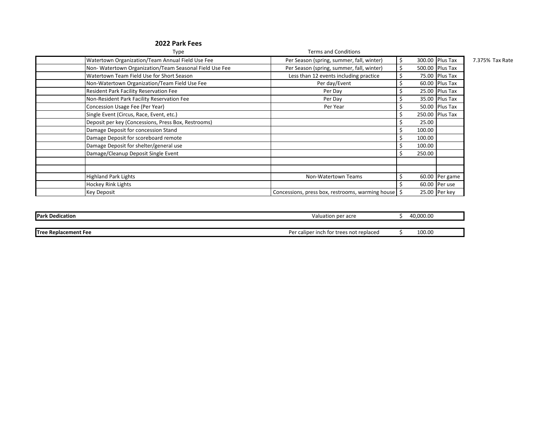| Type                                                   | <b>Terms and Conditions</b>                      |        |                 |                 |
|--------------------------------------------------------|--------------------------------------------------|--------|-----------------|-----------------|
| Watertown Organization/Team Annual Field Use Fee       | Per Season (spring, summer, fall, winter)        |        | 300.00 Plus Tax | 7.375% Tax Rate |
| Non-Watertown Organization/Team Seasonal Field Use Fee | Per Season (spring, summer, fall, winter)        |        | 500.00 Plus Tax |                 |
| Watertown Team Field Use for Short Season              | Less than 12 events including practice           |        | 75.00 Plus Tax  |                 |
| Non-Watertown Organization/Team Field Use Fee          | Per day/Event                                    |        | 60.00 Plus Tax  |                 |
| <b>Resident Park Facility Reservation Fee</b>          | Per Day                                          |        | 25.00 Plus Tax  |                 |
| Non-Resident Park Facility Reservation Fee             | Per Day                                          |        | 35.00 Plus Tax  |                 |
| Concession Usage Fee (Per Year)                        | Per Year                                         |        | 50.00 Plus Tax  |                 |
| Single Event (Circus, Race, Event, etc.)               |                                                  |        | 250.00 Plus Tax |                 |
| Deposit per key (Concessions, Press Box, Restrooms)    |                                                  | 25.00  |                 |                 |
| Damage Deposit for concession Stand                    |                                                  | 100.00 |                 |                 |
| Damage Deposit for scoreboard remote                   |                                                  | 100.00 |                 |                 |
| Damage Deposit for shelter/general use                 |                                                  | 100.00 |                 |                 |
| Damage/Cleanup Deposit Single Event                    |                                                  | 250.00 |                 |                 |
|                                                        |                                                  |        |                 |                 |
|                                                        |                                                  |        |                 |                 |
| <b>Highland Park Lights</b>                            | Non-Watertown Teams                              |        | 60.00 Per game  |                 |
| <b>Hockey Rink Lights</b>                              |                                                  |        | 60.00 Per use   |                 |
| <b>Key Deposit</b>                                     | Concessions, press box, restrooms, warming house |        | 25.00 Per key   |                 |

| <b>Park Dedication</b>      | i per acre<br>aluation/                      | 10.000.00 |
|-----------------------------|----------------------------------------------|-----------|
|                             |                                              |           |
| <b>Tree Replacement Fee</b> | r caliper inch for trees not replaced<br>Per | 100.00    |

### **2022 Park Fees**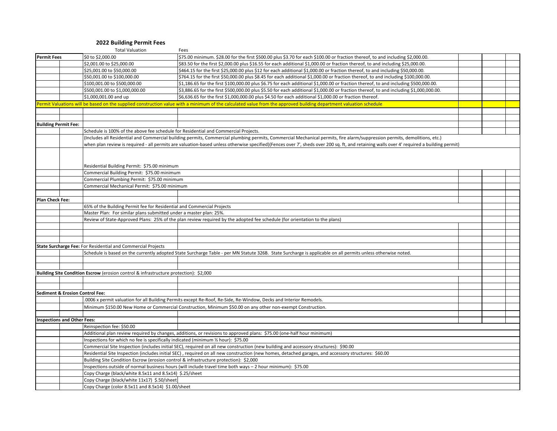#### **2022 Building Permit Fees**

|                                    | <b>Total Valuation</b>                                                                | Fees                                                                                                                                                                                      |  |  |
|------------------------------------|---------------------------------------------------------------------------------------|-------------------------------------------------------------------------------------------------------------------------------------------------------------------------------------------|--|--|
| <b>Permit Fees</b>                 | \$0 to \$2,000.00                                                                     | \$75.00 minimum. \$28.00 for the first \$500.00 plus \$3.70 for each \$100.00 or fraction thereof, to and including \$2,000.00.                                                           |  |  |
|                                    | \$2,001.00 to \$25,000.00                                                             | \$83.50 for the first \$2,000.00 plus \$16.55 for each additional \$1,000.00 or fraction thereof, to and including \$25,000.00.                                                           |  |  |
|                                    | \$25,001.00 to \$50,000.00                                                            | \$464.15 for the first \$25,000.00 plus \$12 for each additional \$1,000.00 or fraction thereof, to and including \$50,000.00.                                                            |  |  |
|                                    | \$50,001.00 to \$100,000.00                                                           | \$764.15 for the first \$50,000.00 plus \$8.45 for each additional \$1,000.00 or fraction thereof, to and including \$100,000.00.                                                         |  |  |
|                                    | \$100,001.00 to \$500,000.00                                                          | \$1,186.65 for the first \$100,000.00 plus \$6.75 for each additional \$1,000.00 or fraction thereof, to and including \$500,000.00.                                                      |  |  |
|                                    | \$500,001.00 to \$1,000,000.00                                                        | \$3,886.65 for the first \$500,000.00 plus \$5.50 for each additional \$1,000.00 or fraction thereof, to and including \$1,000,000.00                                                     |  |  |
|                                    | \$1,000,001.00 and up                                                                 | \$6,636.65 for the first \$1,000,000.00 plus \$4.50 for each additional \$1,000.00 or fraction thereof.                                                                                   |  |  |
|                                    |                                                                                       | Permit Valuations will be based on the supplied construction value with a minimum of the calculated value from the approved building department valuation schedule                        |  |  |
|                                    |                                                                                       |                                                                                                                                                                                           |  |  |
|                                    |                                                                                       |                                                                                                                                                                                           |  |  |
| <b>Building Permit Fee:</b>        |                                                                                       |                                                                                                                                                                                           |  |  |
|                                    | Schedule is 100% of the above fee schedule for Residential and Commercial Projects.   |                                                                                                                                                                                           |  |  |
|                                    |                                                                                       | (Includes all Residential and Commercial building permits, Commercial plumbing permits, Commercial Mechanical permits, fire alarm/suppression permits, demolitions, etc.)                 |  |  |
|                                    |                                                                                       | when plan review is required - all permits are valuation-based unless otherwise specified)(Fences over 7', sheds over 200 sq. ft, and retaining walls over 4' required a building permit) |  |  |
|                                    |                                                                                       |                                                                                                                                                                                           |  |  |
|                                    |                                                                                       |                                                                                                                                                                                           |  |  |
|                                    |                                                                                       |                                                                                                                                                                                           |  |  |
|                                    | Residential Building Permit: \$75.00 minimum                                          |                                                                                                                                                                                           |  |  |
|                                    | Commercial Building Permit: \$75.00 minimum                                           |                                                                                                                                                                                           |  |  |
|                                    | Commercial Plumbing Permit: \$75.00 minimum                                           |                                                                                                                                                                                           |  |  |
|                                    | Commercial Mechanical Permit: \$75.00 minimum                                         |                                                                                                                                                                                           |  |  |
|                                    |                                                                                       |                                                                                                                                                                                           |  |  |
| <b>Plan Check Fee:</b>             |                                                                                       |                                                                                                                                                                                           |  |  |
|                                    | 65% of the Building Permit fee for Residential and Commercial Projects                |                                                                                                                                                                                           |  |  |
|                                    | Master Plan: For similar plans submitted under a master plan: 25%.                    |                                                                                                                                                                                           |  |  |
|                                    |                                                                                       | Review of State-Approved Plans: 25% of the plan review required by the adopted fee schedule (for orientation to the plans)                                                                |  |  |
|                                    |                                                                                       |                                                                                                                                                                                           |  |  |
|                                    |                                                                                       |                                                                                                                                                                                           |  |  |
|                                    |                                                                                       |                                                                                                                                                                                           |  |  |
|                                    | State Surcharge Fee: For Residential and Commercial Projects                          |                                                                                                                                                                                           |  |  |
|                                    |                                                                                       | Schedule is based on the currently adopted State Surcharge Table - per MN Statute 326B. State Surcharge is applicable on all permits unless otherwise noted.                              |  |  |
|                                    |                                                                                       |                                                                                                                                                                                           |  |  |
|                                    |                                                                                       |                                                                                                                                                                                           |  |  |
|                                    | Building Site Condition Escrow (erosion control & infrastructure protection): \$2,000 |                                                                                                                                                                                           |  |  |
|                                    |                                                                                       |                                                                                                                                                                                           |  |  |
|                                    |                                                                                       |                                                                                                                                                                                           |  |  |
| Sediment & Erosion Control Fee:    |                                                                                       |                                                                                                                                                                                           |  |  |
|                                    |                                                                                       | .0006 x permit valuation for all Building Permits except Re-Roof, Re-Side, Re-Window, Decks and Interior Remodels.                                                                        |  |  |
|                                    |                                                                                       | Minimum \$150.00 New Home or Commercial Construction, Minimum \$50.00 on any other non-exempt Construction.                                                                               |  |  |
|                                    |                                                                                       |                                                                                                                                                                                           |  |  |
| <b>Inspections and Other Fees:</b> |                                                                                       |                                                                                                                                                                                           |  |  |
|                                    | Reinspection fee: \$50.00                                                             |                                                                                                                                                                                           |  |  |
|                                    |                                                                                       | Additional plan review required by changes, additions, or revisions to approved plans: \$75.00 (one-half hour minimum)                                                                    |  |  |
|                                    | Inspections for which no fee is specifically indicated (minimum 1/2 hour): \$75.00    |                                                                                                                                                                                           |  |  |
|                                    |                                                                                       | Commercial Site Inspection (includes initial SEC), required on all new construction (new building and accessory structures): \$90.00                                                      |  |  |
|                                    |                                                                                       | Residential Site Inspection (includes initial SEC), required on all new construction (new homes, detached garages, and accessory structures: \$60.00                                      |  |  |
|                                    | Building Site Condition Escrow (erosion control & infrastructure protection): \$2,000 |                                                                                                                                                                                           |  |  |
|                                    |                                                                                       | Inspections outside of normal business hours (will include travel time both ways - 2 hour minimum): \$75.00                                                                               |  |  |
|                                    | Copy Charge (black/white 8.5x11 and 8.5x14) \$.25/sheet                               |                                                                                                                                                                                           |  |  |
|                                    | Copy Charge (black/white 11x17) \$.50/sheet                                           |                                                                                                                                                                                           |  |  |
|                                    | Copy Charge (color 8.5x11 and 8.5x14) \$1.00/sheet                                    |                                                                                                                                                                                           |  |  |
|                                    |                                                                                       |                                                                                                                                                                                           |  |  |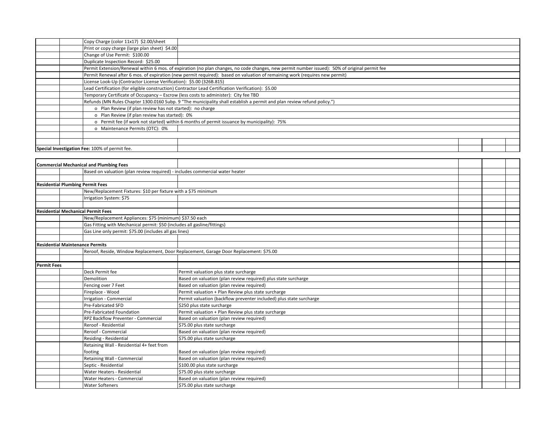|  | Copy Charge (color 11x17) \$2.00/sheet                                                             |                                                                                                                                               |  |  |  |  |  |  |
|--|----------------------------------------------------------------------------------------------------|-----------------------------------------------------------------------------------------------------------------------------------------------|--|--|--|--|--|--|
|  | Print or copy charge (large plan sheet) \$4.00                                                     |                                                                                                                                               |  |  |  |  |  |  |
|  | Change of Use Permit: \$100.00                                                                     |                                                                                                                                               |  |  |  |  |  |  |
|  | Duplicate Inspection Record: \$25.00                                                               |                                                                                                                                               |  |  |  |  |  |  |
|  |                                                                                                    | Permit Extension/Renewal within 6 mos. of expiration (no plan changes, no code changes, new permit number issued): 50% of original permit fee |  |  |  |  |  |  |
|  |                                                                                                    | Permit Renewal after 6 mos. of expiration (new permit required): based on valuation of remaining work (requires new permit)                   |  |  |  |  |  |  |
|  | License Look-Up (Contractor License Verification): \$5.00 (326B.815)                               |                                                                                                                                               |  |  |  |  |  |  |
|  | Lead Certification (for eligible construction) Contractor Lead Certification Verification): \$5.00 |                                                                                                                                               |  |  |  |  |  |  |
|  | Temporary Certificate of Occupancy - Escrow (less costs to administer): City fee TBD               |                                                                                                                                               |  |  |  |  |  |  |
|  |                                                                                                    | Refunds (MN Rules Chapter 1300.0160 Subp. 9 "The municipality shall establish a permit and plan review refund policy.")                       |  |  |  |  |  |  |
|  | o Plan Review (if plan review has not started): no charge                                          |                                                                                                                                               |  |  |  |  |  |  |
|  | o Plan Review (if plan review has started): 0%                                                     |                                                                                                                                               |  |  |  |  |  |  |
|  |                                                                                                    | o Permit fee (if work not started) within 6 months of permit issuance by municipality): 75%                                                   |  |  |  |  |  |  |
|  | o Maintenance Permits (OTC): 0%                                                                    |                                                                                                                                               |  |  |  |  |  |  |
|  |                                                                                                    |                                                                                                                                               |  |  |  |  |  |  |
|  |                                                                                                    |                                                                                                                                               |  |  |  |  |  |  |
|  | Special Investigation Fee: 100% of permit fee.                                                     |                                                                                                                                               |  |  |  |  |  |  |

|                                           | <b>Commercial Mechanical and Plumbing Fees</b>                               |                                                                                        |  |  |
|-------------------------------------------|------------------------------------------------------------------------------|----------------------------------------------------------------------------------------|--|--|
|                                           | Based on valuation (plan review required) - includes commercial water heater |                                                                                        |  |  |
|                                           |                                                                              |                                                                                        |  |  |
| <b>Residential Plumbing Permit Fees</b>   |                                                                              |                                                                                        |  |  |
|                                           | New/Replacement Fixtures: \$10 per fixture with a \$75 minimum               |                                                                                        |  |  |
|                                           | Irrigation System: \$75                                                      |                                                                                        |  |  |
|                                           |                                                                              |                                                                                        |  |  |
| <b>Residential Mechanical Permit Fees</b> |                                                                              |                                                                                        |  |  |
|                                           | New/Replacement Appliances: \$75 (minimum) \$37.50 each                      |                                                                                        |  |  |
|                                           | Gas Fitting with Mechanical permit: \$50 (includes all gasline/fittings)     |                                                                                        |  |  |
|                                           | Gas Line only permit: \$75.00 (includes all gas lines)                       |                                                                                        |  |  |
|                                           |                                                                              |                                                                                        |  |  |
| <b>Residential Maintenance Permits</b>    |                                                                              |                                                                                        |  |  |
|                                           |                                                                              | Reroof, Reside, Window Replacement, Door Replacement, Garage Door Replacement: \$75.00 |  |  |
|                                           |                                                                              |                                                                                        |  |  |
| <b>Permit Fees</b>                        |                                                                              |                                                                                        |  |  |
|                                           | Deck Permit fee                                                              | Permit valuation plus state surcharge                                                  |  |  |
|                                           | Demolition                                                                   | Based on valuation (plan review required) plus state surcharge                         |  |  |
|                                           | Fencing over 7 Feet                                                          | Based on valuation (plan review required)                                              |  |  |
|                                           | Fireplace - Wood                                                             | Permit valuation + Plan Review plus state surcharge                                    |  |  |
|                                           | Irrigation - Commercial                                                      | Permit valuation (backflow preventer included) plus state surcharge                    |  |  |
|                                           | <b>Pre-Fabricated SFD</b>                                                    | \$250 plus state surcharge                                                             |  |  |
|                                           | Pre-Fabricated Foundation                                                    | Permit valuation + Plan Review plus state surcharge                                    |  |  |
|                                           | <b>RPZ Backflow Preventer - Commercial</b>                                   | Based on valuation (plan review required)                                              |  |  |
|                                           | Reroof - Residential                                                         | \$75.00 plus state surcharge                                                           |  |  |
|                                           | Reroof - Commercial                                                          | Based on valuation (plan review required)                                              |  |  |
|                                           | Residing - Residential                                                       | \$75.00 plus state surcharge                                                           |  |  |
|                                           | Retaining Wall - Residential 4+ feet from                                    |                                                                                        |  |  |
|                                           | footing                                                                      | Based on valuation (plan review required)                                              |  |  |
|                                           | Retaining Wall - Commercial                                                  | Based on valuation (plan review required)                                              |  |  |
|                                           | Septic - Residential                                                         | \$100.00 plus state surcharge                                                          |  |  |
|                                           | Water Heaters - Residential                                                  | \$75.00 plus state surcharge                                                           |  |  |
|                                           | Water Heaters - Commercial                                                   | Based on valuation (plan review required)                                              |  |  |
|                                           | <b>Water Softeners</b>                                                       | \$75.00 plus state surcharge                                                           |  |  |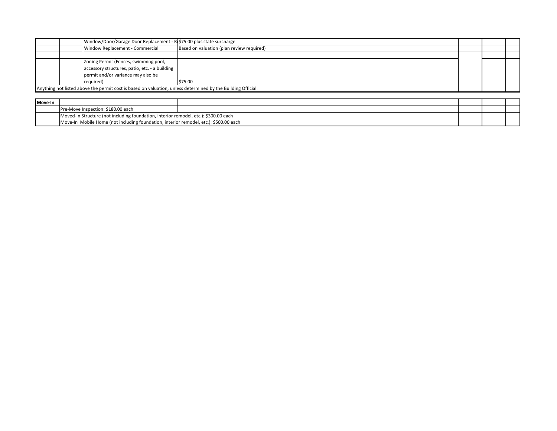|         | Window/Door/Garage Door Replacement - R(\$75.00 plus state surcharge                                         |                                           |  |  |
|---------|--------------------------------------------------------------------------------------------------------------|-------------------------------------------|--|--|
|         | Window Replacement - Commercial                                                                              | Based on valuation (plan review required) |  |  |
|         |                                                                                                              |                                           |  |  |
|         | Zoning Permit (Fences, swimming pool,                                                                        |                                           |  |  |
|         | accessory structures, patio, etc. - a building                                                               |                                           |  |  |
|         | permit and/or variance may also be                                                                           |                                           |  |  |
|         | required)                                                                                                    | \$75.00                                   |  |  |
|         | Anything not listed above the permit cost is based on valuation, unless determined by the Building Official. |                                           |  |  |
|         |                                                                                                              |                                           |  |  |
|         |                                                                                                              |                                           |  |  |
| Move-In |                                                                                                              |                                           |  |  |
|         | Pre-Move Inspection: \$180.00 each                                                                           |                                           |  |  |
|         | Moved-In Structure (not including foundation, interior remodel, etc.): \$300.00 each                         |                                           |  |  |

| Move-In |                                                                                      |                                                                                       |  |  |  |  |  |
|---------|--------------------------------------------------------------------------------------|---------------------------------------------------------------------------------------|--|--|--|--|--|
|         |                                                                                      | Pre-Move Inspection: \$180.00 each                                                    |  |  |  |  |  |
|         | Moved-In Structure (not including foundation, interior remodel, etc.): \$300.00 each |                                                                                       |  |  |  |  |  |
|         |                                                                                      | Move-In Mobile Home (not including foundation, interior remodel, etc.): \$500.00 each |  |  |  |  |  |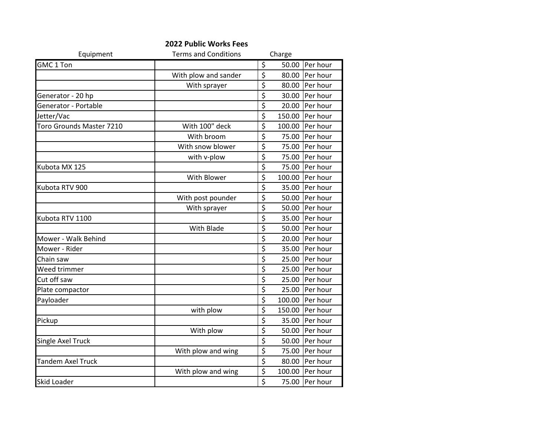|                          | <b>2022 Public Works Fees</b> |                                     |        |          |
|--------------------------|-------------------------------|-------------------------------------|--------|----------|
| Equipment                | <b>Terms and Conditions</b>   |                                     | Charge |          |
| GMC 1 Ton                |                               | \$                                  | 50.00  | Per hour |
|                          | With plow and sander          | \$                                  | 80.00  | Per hour |
|                          | With sprayer                  | \$                                  | 80.00  | Per hour |
| Generator - 20 hp        |                               | \$                                  | 30.00  | Per hour |
| Generator - Portable     |                               | \$                                  | 20.00  | Per hour |
| Jetter/Vac               |                               | \$                                  | 150.00 | Per hour |
| Toro Grounds Master 7210 | With 100" deck                | \$                                  | 100.00 | Per hour |
|                          | With broom                    | \$                                  | 75.00  | Per hour |
|                          | With snow blower              | \$                                  | 75.00  | Per hour |
|                          | with v-plow                   | $\overline{\xi}$                    | 75.00  | Per hour |
| Kubota MX 125            |                               | $\overline{\boldsymbol{\zeta}}$     | 75.00  | Per hour |
|                          | With Blower                   | \$                                  | 100.00 | Per hour |
| Kubota RTV 900           |                               | \$                                  | 35.00  | Per hour |
|                          | With post pounder             | $\overline{\xi}$                    | 50.00  | Per hour |
|                          | With sprayer                  | \$                                  | 50.00  | Per hour |
| Kubota RTV 1100          |                               | \$                                  | 35.00  | Per hour |
|                          | With Blade                    | $\overline{\xi}$                    | 50.00  | Per hour |
| Mower - Walk Behind      |                               | $\overline{\boldsymbol{\zeta}}$     | 20.00  | Per hour |
| Mower - Rider            |                               | \$                                  | 35.00  | Per hour |
| Chain saw                |                               | \$                                  | 25.00  | Per hour |
| Weed trimmer             |                               | \$                                  | 25.00  | Per hour |
| Cut off saw              |                               | \$                                  | 25.00  | Per hour |
| Plate compactor          |                               | $\overline{\boldsymbol{\zeta}}$     | 25.00  | Per hour |
| Payloader                |                               | \$                                  | 100.00 | Per hour |
|                          | with plow                     | $\overline{\boldsymbol{\varsigma}}$ | 150.00 | Per hour |
| Pickup                   |                               | \$                                  | 35.00  | Per hour |
|                          | With plow                     | \$                                  | 50.00  | Per hour |
| Single Axel Truck        |                               | $\overline{\xi}$                    | 50.00  | Per hour |
|                          | With plow and wing            | \$                                  | 75.00  | Per hour |
| <b>Tandem Axel Truck</b> |                               | \$                                  | 80.00  | Per hour |
|                          | With plow and wing            | \$                                  | 100.00 | Per hour |
| <b>Skid Loader</b>       |                               | $\overline{\boldsymbol{\varsigma}}$ | 75.00  | Per hour |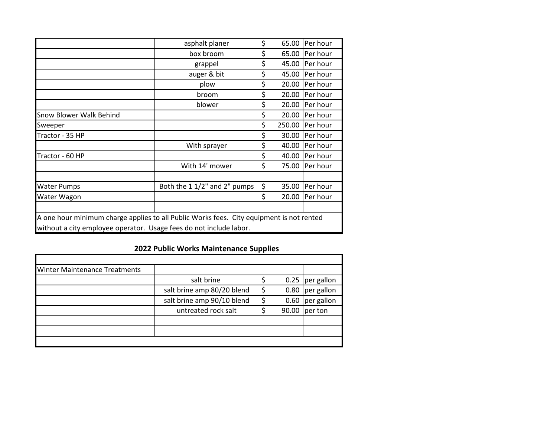|                                                                                          | asphalt planer               | \$ | 65.00  | <b>Per hour</b> |  |  |  |
|------------------------------------------------------------------------------------------|------------------------------|----|--------|-----------------|--|--|--|
|                                                                                          | box broom                    | \$ | 65.00  | <b>Per hour</b> |  |  |  |
|                                                                                          | grappel                      | \$ | 45.00  | Per hour        |  |  |  |
|                                                                                          | auger & bit                  | \$ | 45.00  | Per hour        |  |  |  |
|                                                                                          | plow                         | \$ | 20.00  | Per hour        |  |  |  |
|                                                                                          | broom                        | \$ | 20.00  | Per hour        |  |  |  |
|                                                                                          | blower                       | \$ | 20.00  | Per hour        |  |  |  |
| Snow Blower Walk Behind                                                                  |                              | \$ | 20.00  | <b>Per hour</b> |  |  |  |
| Sweeper                                                                                  |                              | \$ | 250.00 | <b>Per hour</b> |  |  |  |
| Tractor - 35 HP                                                                          |                              | \$ | 30.00  | <b>Per hour</b> |  |  |  |
|                                                                                          | With sprayer                 | \$ | 40.00  | Per hour        |  |  |  |
| Tractor - 60 HP                                                                          |                              | \$ | 40.00  | Per hour        |  |  |  |
|                                                                                          | With 14' mower               | \$ | 75.00  | <b>Per hour</b> |  |  |  |
|                                                                                          |                              |    |        |                 |  |  |  |
| <b>Water Pumps</b>                                                                       | Both the 1 1/2" and 2" pumps | \$ | 35.00  | Per hour        |  |  |  |
| Water Wagon                                                                              |                              | \$ | 20.00  | Per hour        |  |  |  |
|                                                                                          |                              |    |        |                 |  |  |  |
| A one hour minimum charge applies to all Public Works fees. City equipment is not rented |                              |    |        |                 |  |  |  |
| without a city employee operator. Usage fees do not include labor.                       |                              |    |        |                 |  |  |  |

# **2022 Public Works Maintenance Supplies**

| Winter Maintenance Treatments |                            |    |       |                    |
|-------------------------------|----------------------------|----|-------|--------------------|
|                               | salt brine                 |    |       | $0.25$  per gallon |
|                               | salt brine amp 80/20 blend | \$ |       | 0.80 per gallon    |
|                               | salt brine amp 90/10 blend | ς  | 0.60  | per gallon         |
|                               | untreated rock salt        |    | 90.00 | per ton            |
|                               |                            |    |       |                    |
|                               |                            |    |       |                    |
|                               |                            |    |       |                    |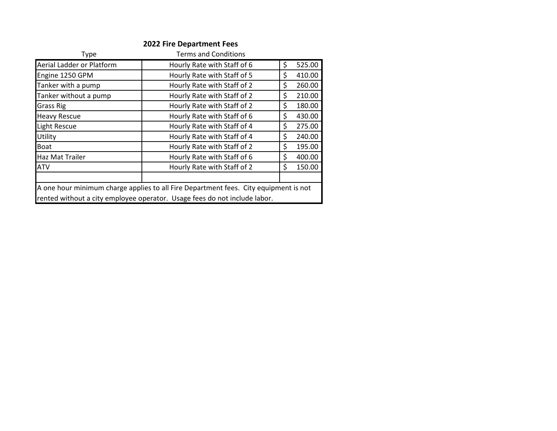## **2022 Fire Department Fees**

| Type                      | <b>Terms and Conditions</b>                                                          |              |
|---------------------------|--------------------------------------------------------------------------------------|--------------|
| Aerial Ladder or Platform | Hourly Rate with Staff of 6                                                          | \$<br>525.00 |
| Engine 1250 GPM           | Hourly Rate with Staff of 5                                                          | \$<br>410.00 |
| Tanker with a pump        | Hourly Rate with Staff of 2                                                          | \$<br>260.00 |
| Tanker without a pump     | Hourly Rate with Staff of 2                                                          | \$<br>210.00 |
| <b>Grass Rig</b>          | Hourly Rate with Staff of 2                                                          | \$<br>180.00 |
| <b>Heavy Rescue</b>       | Hourly Rate with Staff of 6                                                          | \$<br>430.00 |
| Light Rescue              | Hourly Rate with Staff of 4                                                          | \$<br>275.00 |
| Utility                   | Hourly Rate with Staff of 4                                                          | \$<br>240.00 |
| <b>Boat</b>               | Hourly Rate with Staff of 2                                                          | \$<br>195.00 |
| Haz Mat Trailer           | Hourly Rate with Staff of 6                                                          | \$<br>400.00 |
| <b>ATV</b>                | Hourly Rate with Staff of 2                                                          | \$<br>150.00 |
|                           |                                                                                      |              |
|                           | A one hour minimum charge applies to all Fire Department fees. City equipment is not |              |
|                           | rented without a city employee operator. Usage fees do not include labor.            |              |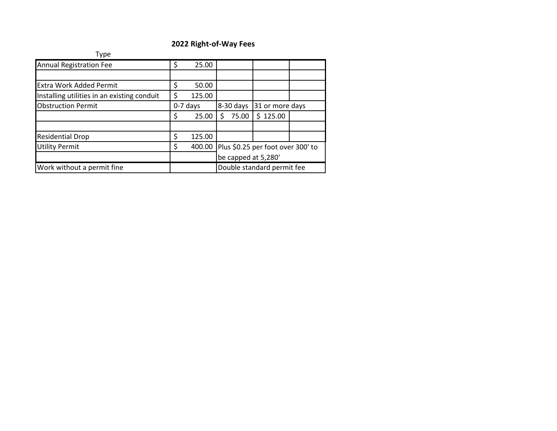## **2022 Right-of-Way Fees**

| Type                                        |    |            |                     |                                   |  |
|---------------------------------------------|----|------------|---------------------|-----------------------------------|--|
| <b>Annual Registration Fee</b>              | \$ | 25.00      |                     |                                   |  |
|                                             |    |            |                     |                                   |  |
| <b>Extra Work Added Permit</b>              | \$ | 50.00      |                     |                                   |  |
| Installing utilities in an existing conduit | \$ | 125.00     |                     |                                   |  |
| <b>Obstruction Permit</b>                   |    | $0-7$ days | 8-30 days           | 31 or more days                   |  |
|                                             | \$ | 25.00      | 75.00<br>\$         | \$125.00                          |  |
|                                             |    |            |                     |                                   |  |
| <b>Residential Drop</b>                     | Ś  | 125.00     |                     |                                   |  |
| <b>Utility Permit</b>                       | Ś. | 400.00     |                     | Plus \$0.25 per foot over 300' to |  |
|                                             |    |            | be capped at 5,280' |                                   |  |
| Work without a permit fine                  |    |            |                     | Double standard permit fee        |  |